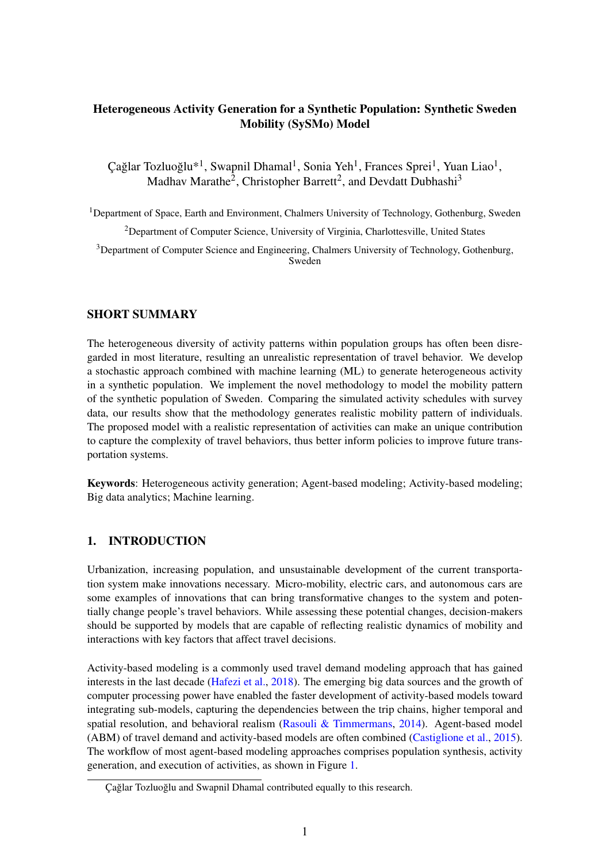# Heterogeneous Activity Generation for a Synthetic Population: Synthetic Sweden Mobility (SySMo) Model

Çağlar Tozluoğlu\*<sup>1</sup>, Swapnil Dhamal<sup>1</sup>, Sonia Yeh<sup>1</sup>, Frances Sprei<sup>1</sup>, Yuan Liao<sup>1</sup>, Madhav Marathe<sup>2</sup>, Christopher Barrett<sup>2</sup>, and Devdatt Dubhashi<sup>3</sup>

<sup>1</sup>Department of Space, Earth and Environment, Chalmers University of Technology, Gothenburg, Sweden <sup>2</sup>Department of Computer Science, University of Virginia, Charlottesville, United States <sup>3</sup>Department of Computer Science and Engineering, Chalmers University of Technology, Gothenburg, Sweden

### SHORT SUMMARY

The heterogeneous diversity of activity patterns within population groups has often been disregarded in most literature, resulting an unrealistic representation of travel behavior. We develop a stochastic approach combined with machine learning (ML) to generate heterogeneous activity in a synthetic population. We implement the novel methodology to model the mobility pattern of the synthetic population of Sweden. Comparing the simulated activity schedules with survey data, our results show that the methodology generates realistic mobility pattern of individuals. The proposed model with a realistic representation of activities can make an unique contribution to capture the complexity of travel behaviors, thus better inform policies to improve future transportation systems.

Keywords: Heterogeneous activity generation; Agent-based modeling; Activity-based modeling; Big data analytics; Machine learning.

### 1. INTRODUCTION

Urbanization, increasing population, and unsustainable development of the current transportation system make innovations necessary. Micro-mobility, electric cars, and autonomous cars are some examples of innovations that can bring transformative changes to the system and potentially change people's travel behaviors. While assessing these potential changes, decision-makers should be supported by models that are capable of reflecting realistic dynamics of mobility and interactions with key factors that affect travel decisions.

Activity-based modeling is a commonly used travel demand modeling approach that has gained interests in the last decade [\(Hafezi et al.,](#page-8-0) [2018\)](#page-8-0). The emerging big data sources and the growth of computer processing power have enabled the faster development of activity-based models toward integrating sub-models, capturing the dependencies between the trip chains, higher temporal and spatial resolution, and behavioral realism [\(Rasouli & Timmermans,](#page-8-1) [2014\)](#page-8-1). Agent-based model (ABM) of travel demand and activity-based models are often combined [\(Castiglione et al.,](#page-8-2) [2015\)](#page-8-2). The workflow of most agent-based modeling approaches comprises population synthesis, activity generation, and execution of activities, as shown in Figure [1.](#page-1-0)

Çağlar Tozluoğlu and Swapnil Dhamal contributed equally to this research.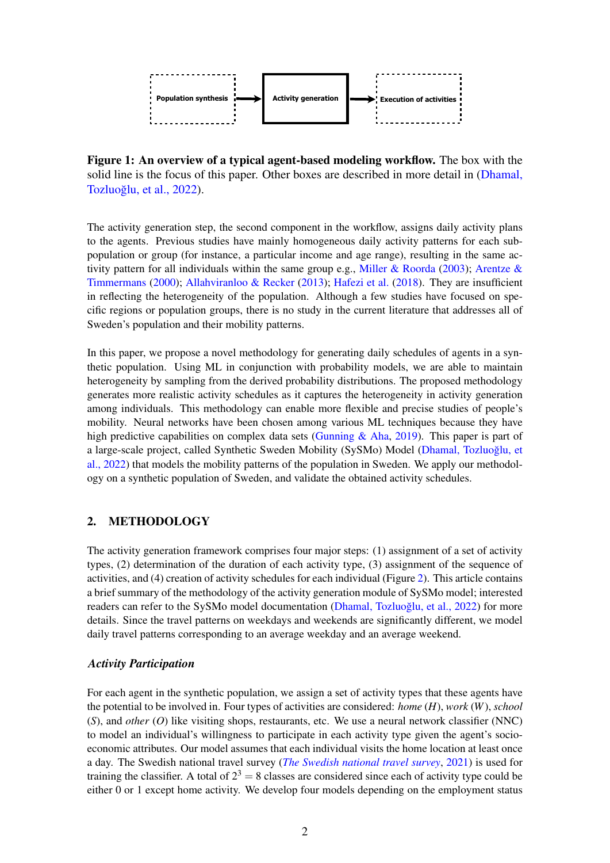<span id="page-1-0"></span>

Figure 1: An overview of a typical agent-based modeling workflow. The box with the solid line is the focus of this paper. Other boxes are described in more detail in [\(Dhamal,](#page-8-3) Tozluoğlu, et al., [2022\)](#page-8-3).

The activity generation step, the second component in the workflow, assigns daily activity plans to the agents. Previous studies have mainly homogeneous daily activity patterns for each subpopulation or group (for instance, a particular income and age range), resulting in the same activity pattern for all individuals within the same group e.g., [Miller & Roorda](#page-8-4) [\(2003\)](#page-8-4); [Arentze &](#page-8-5) [Timmermans](#page-8-5) [\(2000\)](#page-8-5); [Allahviranloo & Recker](#page-8-6) [\(2013\)](#page-8-6); [Hafezi et al.](#page-8-0) [\(2018\)](#page-8-0). They are insufficient in reflecting the heterogeneity of the population. Although a few studies have focused on specific regions or population groups, there is no study in the current literature that addresses all of Sweden's population and their mobility patterns.

In this paper, we propose a novel methodology for generating daily schedules of agents in a synthetic population. Using ML in conjunction with probability models, we are able to maintain heterogeneity by sampling from the derived probability distributions. The proposed methodology generates more realistic activity schedules as it captures the heterogeneity in activity generation among individuals. This methodology can enable more flexible and precise studies of people's mobility. Neural networks have been chosen among various ML techniques because they have high predictive capabilities on complex data sets (Gunning  $\&$  Aha, [2019\)](#page-8-7). This paper is part of a large-scale project, called Synthetic Sweden Mobility (SySMo) Model (Dhamal, Tozluoğlu, et al., [2022\)](#page-8-3) that models the mobility patterns of the population in Sweden. We apply our methodology on a synthetic population of Sweden, and validate the obtained activity schedules.

# 2. METHODOLOGY

The activity generation framework comprises four major steps: (1) assignment of a set of activity types, (2) determination of the duration of each activity type, (3) assignment of the sequence of activities, and (4) creation of activity schedules for each individual (Figure [2\)](#page-2-0). This article contains a brief summary of the methodology of the activity generation module of SySMo model; interested readers can refer to the SySMo model documentation [\(Dhamal, Tozluoglu, et al.,](#page-8-3) [2022\)](#page-8-3) for more details. Since the travel patterns on weekdays and weekends are significantly different, we model daily travel patterns corresponding to an average weekday and an average weekend.

## *Activity Participation*

For each agent in the synthetic population, we assign a set of activity types that these agents have the potential to be involved in. Four types of activities are considered: *home* (*H*), *work* (*W*), *school* (*S*), and *other* (*O*) like visiting shops, restaurants, etc. We use a neural network classifier (NNC) to model an individual's willingness to participate in each activity type given the agent's socioeconomic attributes. Our model assumes that each individual visits the home location at least once a day. The Swedish national travel survey (*[The Swedish national travel survey](#page-8-8)*, [2021\)](#page-8-8) is used for training the classifier. A total of  $2^3 = 8$  classes are considered since each of activity type could be either 0 or 1 except home activity. We develop four models depending on the employment status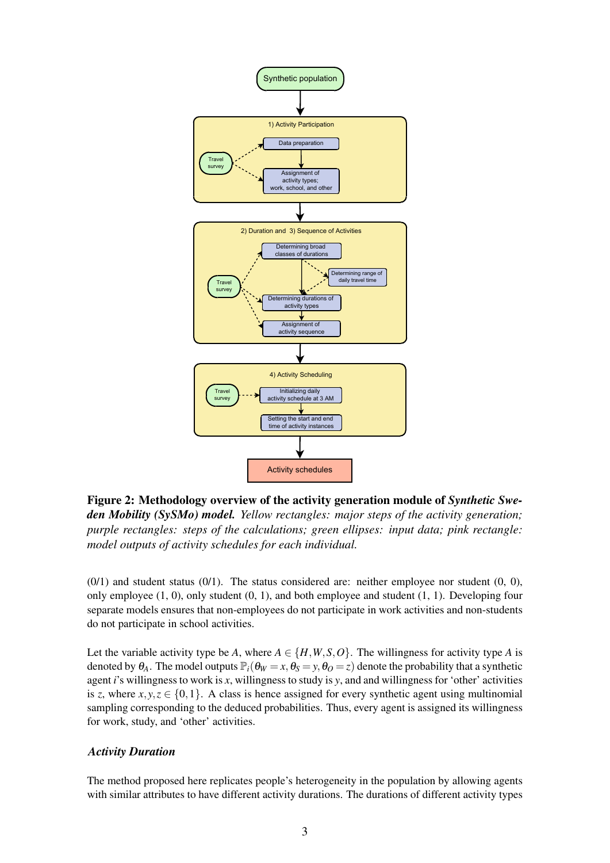<span id="page-2-0"></span>

Figure 2: Methodology overview of the activity generation module of *Synthetic Sweden Mobility (SySMo) model. Yellow rectangles: major steps of the activity generation; purple rectangles: steps of the calculations; green ellipses: input data; pink rectangle: model outputs of activity schedules for each individual.*

 $(0/1)$  and student status  $(0/1)$ . The status considered are: neither employee nor student  $(0, 0)$ , only employee  $(1, 0)$ , only student  $(0, 1)$ , and both employee and student  $(1, 1)$ . Developing four separate models ensures that non-employees do not participate in work activities and non-students do not participate in school activities.

Let the variable activity type be *A*, where  $A \in \{H, W, S, O\}$ . The willingness for activity type *A* is denoted by  $\theta_A$ . The model outputs  $\mathbb{P}_i(\theta_W = x, \theta_S = y, \theta_O = z)$  denote the probability that a synthetic agent *i*'s willingness to work is *x*, willingness to study is *y*, and and willingness for 'other' activities is *z*, where  $x, y, z \in \{0, 1\}$ . A class is hence assigned for every synthetic agent using multinomial sampling corresponding to the deduced probabilities. Thus, every agent is assigned its willingness for work, study, and 'other' activities.

### *Activity Duration*

The method proposed here replicates people's heterogeneity in the population by allowing agents with similar attributes to have different activity durations. The durations of different activity types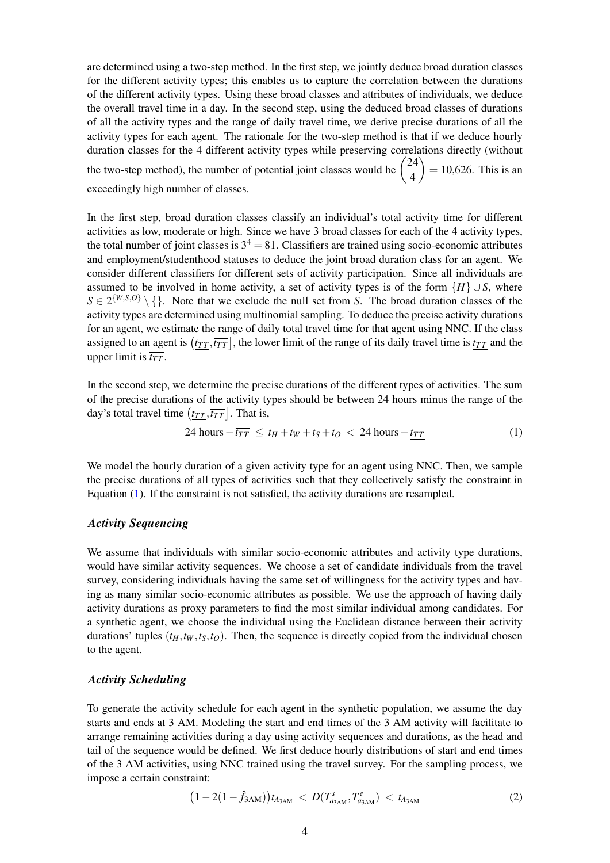are determined using a two-step method. In the first step, we jointly deduce broad duration classes for the different activity types; this enables us to capture the correlation between the durations of the different activity types. Using these broad classes and attributes of individuals, we deduce the overall travel time in a day. In the second step, using the deduced broad classes of durations of all the activity types and the range of daily travel time, we derive precise durations of all the activity types for each agent. The rationale for the two-step method is that if we deduce hourly duration classes for the 4 different activity types while preserving correlations directly (without the two-step method), the number of potential joint classes would be  $\begin{pmatrix} 24 \\ 4 \end{pmatrix}$ 4  $\Big) = 10,626$ . This is an exceedingly high number of classes.

In the first step, broad duration classes classify an individual's total activity time for different activities as low, moderate or high. Since we have 3 broad classes for each of the 4 activity types, the total number of joint classes is  $3<sup>4</sup> = 81$ . Classifiers are trained using socio-economic attributes and employment/studenthood statuses to deduce the joint broad duration class for an agent. We consider different classifiers for different sets of activity participation. Since all individuals are assumed to be involved in home activity, a set of activity types is of the form  ${H} \cup S$ , where  $S \in 2^{\{W,S,O\}} \setminus \{\}.$  Note that we exclude the null set from *S*. The broad duration classes of the activity types are determined using multinomial sampling. To deduce the precise activity durations for an agent, we estimate the range of daily total travel time for that agent using NNC. If the class assigned to an agent is  $(t_{TT}, \overline{t_{TT}})$ , the lower limit of the range of its daily travel time is  $t_{TT}$  and the upper limit is  $\overline{t_{TT}}$ .

In the second step, we determine the precise durations of the different types of activities. The sum of the precise durations of the activity types should be between 24 hours minus the range of the day's total travel time  $(t_{TT}, \overline{t_{TT}}]$ . That is,

<span id="page-3-0"></span>
$$
24 \text{ hours} - \overline{t_{TT}} \le t_H + t_W + t_S + t_O < 24 \text{ hours} - t_{TT} \tag{1}
$$

We model the hourly duration of a given activity type for an agent using NNC. Then, we sample the precise durations of all types of activities such that they collectively satisfy the constraint in Equation [\(1\)](#page-3-0). If the constraint is not satisfied, the activity durations are resampled.

#### *Activity Sequencing*

We assume that individuals with similar socio-economic attributes and activity type durations, would have similar activity sequences. We choose a set of candidate individuals from the travel survey, considering individuals having the same set of willingness for the activity types and having as many similar socio-economic attributes as possible. We use the approach of having daily activity durations as proxy parameters to find the most similar individual among candidates. For a synthetic agent, we choose the individual using the Euclidean distance between their activity durations' tuples  $(t_H, t_W, t_S, t_O)$ . Then, the sequence is directly copied from the individual chosen to the agent.

### *Activity Scheduling*

To generate the activity schedule for each agent in the synthetic population, we assume the day starts and ends at 3 AM. Modeling the start and end times of the 3 AM activity will facilitate to arrange remaining activities during a day using activity sequences and durations, as the head and tail of the sequence would be defined. We first deduce hourly distributions of start and end times of the 3 AM activities, using NNC trained using the travel survey. For the sampling process, we impose a certain constraint:

<span id="page-3-1"></span>
$$
(1 - 2(1 - \hat{f}_{3AM}))t_{A_{3AM}} < D(T_{a_{3AM}}^s, T_{a_{3AM}}^e) < t_{A_{3AM}} \tag{2}
$$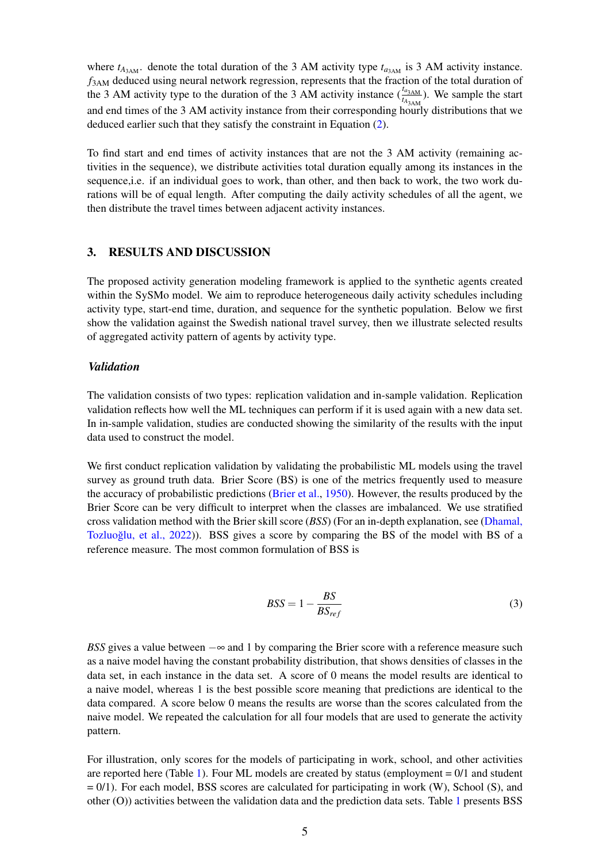where  $t_{A_{3AM}}$ . denote the total duration of the 3 AM activity type  $t_{a_{3AM}}$  is 3 AM activity instance. *f*3AM deduced using neural network regression, represents that the fraction of the total duration of the 3 AM activity type to the duration of the 3 AM activity instance  $(\frac{t_{a_{3AM}}}{t_{A_{3AM}}})$ . We sample the start and end times of the 3 AM activity instance from their corresponding hourly distributions that we deduced earlier such that they satisfy the constraint in Equation [\(2\)](#page-3-1).

To find start and end times of activity instances that are not the 3 AM activity (remaining activities in the sequence), we distribute activities total duration equally among its instances in the sequence,i.e. if an individual goes to work, than other, and then back to work, the two work durations will be of equal length. After computing the daily activity schedules of all the agent, we then distribute the travel times between adjacent activity instances.

# 3. RESULTS AND DISCUSSION

The proposed activity generation modeling framework is applied to the synthetic agents created within the SySMo model. We aim to reproduce heterogeneous daily activity schedules including activity type, start-end time, duration, and sequence for the synthetic population. Below we first show the validation against the Swedish national travel survey, then we illustrate selected results of aggregated activity pattern of agents by activity type.

#### *Validation*

The validation consists of two types: replication validation and in-sample validation. Replication validation reflects how well the ML techniques can perform if it is used again with a new data set. In in-sample validation, studies are conducted showing the similarity of the results with the input data used to construct the model.

We first conduct replication validation by validating the probabilistic ML models using the travel survey as ground truth data. Brier Score (BS) is one of the metrics frequently used to measure the accuracy of probabilistic predictions [\(Brier et al.,](#page-8-9) [1950\)](#page-8-9). However, the results produced by the Brier Score can be very difficult to interpret when the classes are imbalanced. We use stratified cross validation method with the Brier skill score (*BSS*) (For an in-depth explanation, see [\(Dhamal,](#page-8-3) [Tozluoglu, et al.,](#page-8-3) [2022\)](#page-8-3)). BSS gives a score by comparing the BS of the model with BS of a reference measure. The most common formulation of BSS is

$$
BSS = 1 - \frac{BS}{BS_{ref}}\tag{3}
$$

*BSS* gives a value between  $-\infty$  and 1 by comparing the Brier score with a reference measure such as a naive model having the constant probability distribution, that shows densities of classes in the data set, in each instance in the data set. A score of 0 means the model results are identical to a naive model, whereas 1 is the best possible score meaning that predictions are identical to the data compared. A score below 0 means the results are worse than the scores calculated from the naive model. We repeated the calculation for all four models that are used to generate the activity pattern.

For illustration, only scores for the models of participating in work, school, and other activities are reported here (Table [1\)](#page-5-0). Four ML models are created by status (employment  $= 0/1$  and student = 0/1). For each model, BSS scores are calculated for participating in work (W), School (S), and other (O)) activities between the validation data and the prediction data sets. Table [1](#page-5-0) presents BSS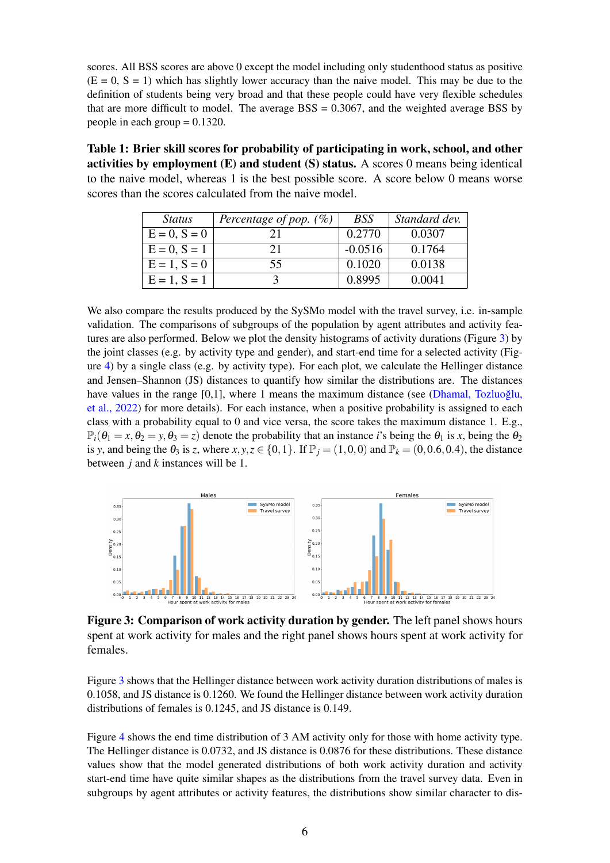scores. All BSS scores are above 0 except the model including only studenthood status as positive  $(E = 0, S = 1)$  which has slightly lower accuracy than the naive model. This may be due to the definition of students being very broad and that these people could have very flexible schedules that are more difficult to model. The average  $BSS = 0.3067$ , and the weighted average BSS by people in each group  $= 0.1320$ .

<span id="page-5-0"></span>Table 1: Brier skill scores for probability of participating in work, school, and other activities by employment (E) and student (S) status. A scores 0 means being identical to the naive model, whereas 1 is the best possible score. A score below 0 means worse scores than the scores calculated from the naive model.

| <i>Status</i>     | Percentage of pop. $(\%)$ | <b>BSS</b> | Standard dev. |
|-------------------|---------------------------|------------|---------------|
| $E = 0, S = 0$    | 21                        | 0.2770     | 0.0307        |
| $E = 0$ , $S = 1$ | 21                        | $-0.0516$  | 0.1764        |
| $E = 1, S = 0$    | 55                        | 0.1020     | 0.0138        |
| $E = 1, S = 1$    |                           | 0.8995     | 0.0041        |

We also compare the results produced by the SySMo model with the travel survey, i.e. in-sample validation. The comparisons of subgroups of the population by agent attributes and activity features are also performed. Below we plot the density histograms of activity durations (Figure [3\)](#page-5-1) by the joint classes (e.g. by activity type and gender), and start-end time for a selected activity (Figure [4\)](#page-6-0) by a single class (e.g. by activity type). For each plot, we calculate the Hellinger distance and Jensen–Shannon (JS) distances to quantify how similar the distributions are. The distances have values in the range [0,1], where 1 means the maximum distance (see (Dhamal, Tozluoğlu, [et al.,](#page-8-3) [2022\)](#page-8-3) for more details). For each instance, when a positive probability is assigned to each class with a probability equal to 0 and vice versa, the score takes the maximum distance 1. E.g.,  $\mathbb{P}_i(\theta_1 = x, \theta_2 = y, \theta_3 = z)$  denote the probability that an instance *i*'s being the  $\theta_1$  is *x*, being the  $\theta_2$ is *y*, and being the  $\theta_3$  is *z*, where  $x, y, z \in \{0, 1\}$ . If  $\mathbb{P}_j = (1, 0, 0)$  and  $\mathbb{P}_k = (0, 0.6, 0.4)$ , the distance between *j* and *k* instances will be 1.

<span id="page-5-1"></span>

Figure 3: Comparison of work activity duration by gender. The left panel shows hours spent at work activity for males and the right panel shows hours spent at work activity for females.

Figure [3](#page-5-1) shows that the Hellinger distance between work activity duration distributions of males is 0.1058, and JS distance is 0.1260. We found the Hellinger distance between work activity duration distributions of females is 0.1245, and JS distance is 0.149.

Figure [4](#page-6-0) shows the end time distribution of 3 AM activity only for those with home activity type. The Hellinger distance is 0.0732, and JS distance is 0.0876 for these distributions. These distance values show that the model generated distributions of both work activity duration and activity start-end time have quite similar shapes as the distributions from the travel survey data. Even in subgroups by agent attributes or activity features, the distributions show similar character to dis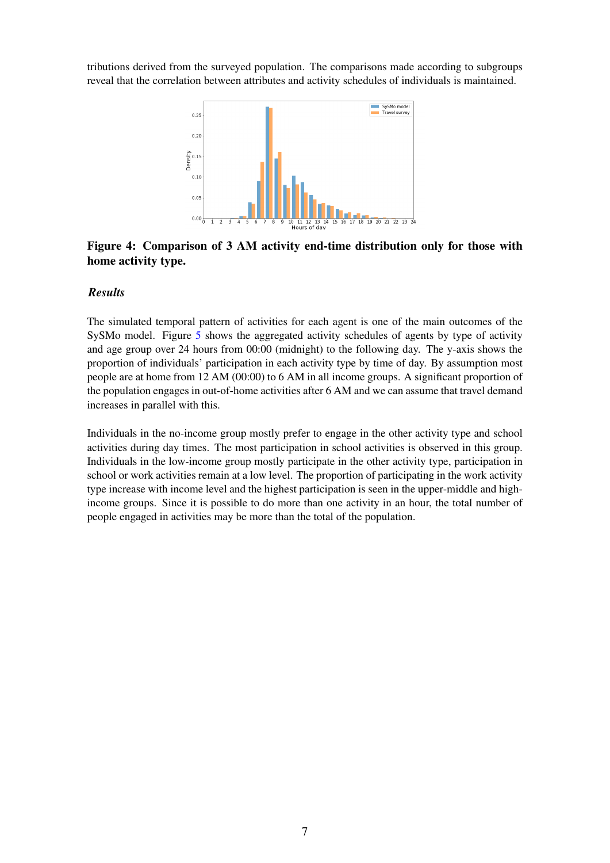<span id="page-6-0"></span>tributions derived from the surveyed population. The comparisons made according to subgroups reveal that the correlation between attributes and activity schedules of individuals is maintained.



# Figure 4: Comparison of 3 AM activity end-time distribution only for those with home activity type.

#### *Results*

The simulated temporal pattern of activities for each agent is one of the main outcomes of the SySMo model. Figure [5](#page-7-0) shows the aggregated activity schedules of agents by type of activity and age group over 24 hours from 00:00 (midnight) to the following day. The y-axis shows the proportion of individuals' participation in each activity type by time of day. By assumption most people are at home from 12 AM (00:00) to 6 AM in all income groups. A significant proportion of the population engages in out-of-home activities after 6 AM and we can assume that travel demand increases in parallel with this.

Individuals in the no-income group mostly prefer to engage in the other activity type and school activities during day times. The most participation in school activities is observed in this group. Individuals in the low-income group mostly participate in the other activity type, participation in school or work activities remain at a low level. The proportion of participating in the work activity type increase with income level and the highest participation is seen in the upper-middle and highincome groups. Since it is possible to do more than one activity in an hour, the total number of people engaged in activities may be more than the total of the population.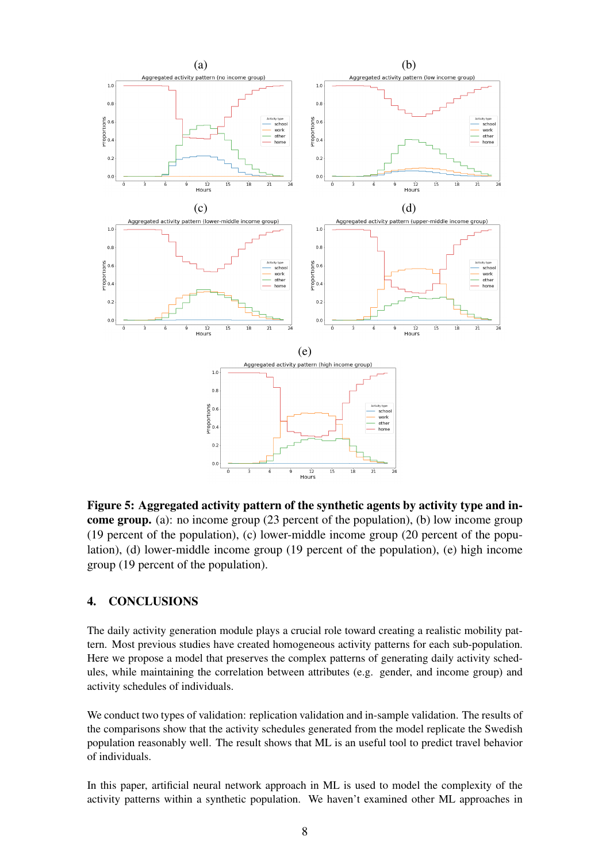<span id="page-7-0"></span>

Figure 5: Aggregated activity pattern of the synthetic agents by activity type and income group. (a): no income group (23 percent of the population), (b) low income group (19 percent of the population), (c) lower-middle income group (20 percent of the population), (d) lower-middle income group (19 percent of the population), (e) high income group (19 percent of the population).

# 4. CONCLUSIONS

The daily activity generation module plays a crucial role toward creating a realistic mobility pattern. Most previous studies have created homogeneous activity patterns for each sub-population. Here we propose a model that preserves the complex patterns of generating daily activity schedules, while maintaining the correlation between attributes (e.g. gender, and income group) and activity schedules of individuals.

We conduct two types of validation: replication validation and in-sample validation. The results of the comparisons show that the activity schedules generated from the model replicate the Swedish population reasonably well. The result shows that ML is an useful tool to predict travel behavior of individuals.

In this paper, artificial neural network approach in ML is used to model the complexity of the activity patterns within a synthetic population. We haven't examined other ML approaches in